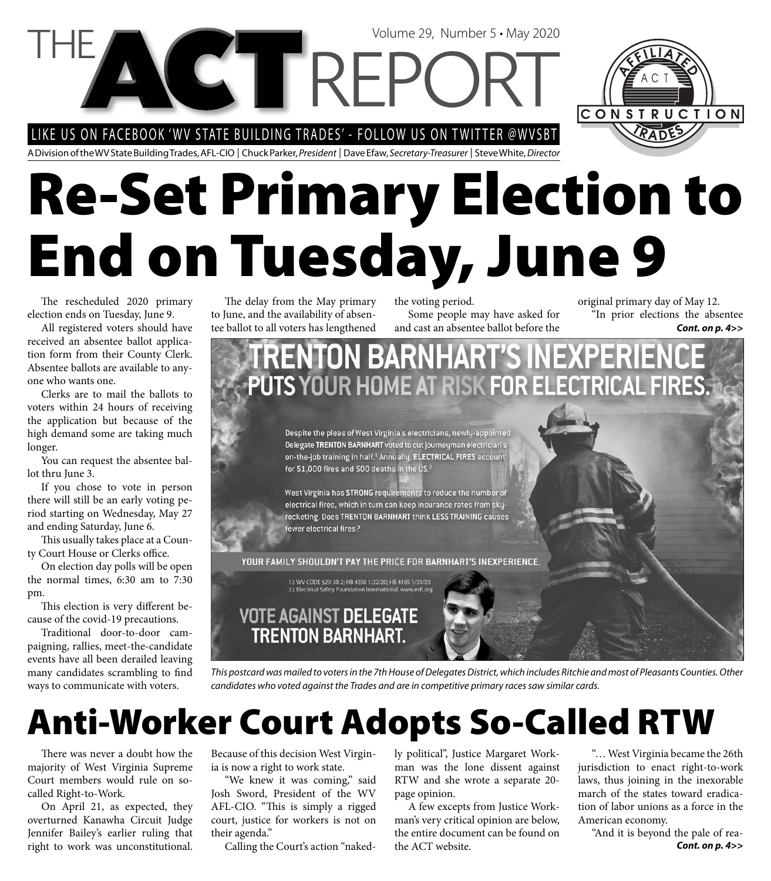#### LIKE US ON FACEBOOK 'WV STATE BUILDING TRADES' - FOLLOW US ON TWITTER @WVSBT

A Division of the WV State Building Trades, AFL-CIO | Chuck Parker, President | Dave Efaw, Secretary-Treasurer | Steve White, Director

# **Re-Set Primary Election to End on Tuesday, June 9**

Volume 29, Number 5 • May 2020

The rescheduled 2020 primary election ends on Tuesday, June 9.

All registered voters should have received an absentee ballot application form from their County Clerk. Absentee ballots are available to anyone who wants one.

Clerks are to mail the ballots to voters within 24 hours of receiving the application but because of the high demand some are taking much longer.

You can request the absentee ballot thru June 3.

If you chose to vote in person there will still be an early voting period starting on Wednesday, May 27 and ending Saturday, June 6.

This usually takes place at a County Court House or Clerks office.

On election day polls will be open the normal times, 6:30 am to 7:30 pm.

This election is very different because of the covid-19 precautions.

Traditional door-to-door campaigning, rallies, meet-the-candidate events have all been derailed leaving many candidates scrambling to find ways to communicate with voters.

The delay from the May primary to June, and the availability of absentee ballot to all voters has lengthened the voting period. Some people may have asked for

PUTS YOUR HOME AT RISK FOR ELECTRICAL FIRES.

and cast an absentee ballot before the **Cont. on p. 4>>** original primary day of May 12. "In prior elections the absentee

**XPERIE** 

CONSTRUCTION

YOUR FAMILY SHOULDN'T PAY THE PRICE FOR BARNHART'S INEXPERIENCE.

**TRENTON BARNHART'S INE** 

Despite the pleas of West Virginia's electricians, newly-appointed Delegate TRENTON BARNHART voted to cut journeyman electrician's on-the-job training in half.<sup>1</sup> Annually, ELECTRICAL FIRES account

West Virginia has STRONG requirements to reduce the number of electrical fires, which in turn can keep insurance rates from skyrocketing. Does TRENTON BARNHART think LESS TRAINING causes

1.) WV CODE §29-3B-2; HB 4358 1/22/20; HB 4185 1/31/20

fewer electrical fires?

for 51,000 fires and 500 deaths in the US.<sup>2</sup>



This postcard was mailed to voters in the 7th House of Delegates District, which includes Ritchie and most of Pleasants Counties. Other candidates who voted against the Trades and are in competitive primary races saw similar cards.

## **Anti-Worker Court Adopts So-Called RTW**

There was never a doubt how the majority of West Virginia Supreme Court members would rule on socalled Right-to-Work.

On April 21, as expected, they overturned Kanawha Circuit Judge Jennifer Bailey's earlier ruling that right to work was unconstitutional.

Because of this decision West Virginia is now a right to work state.

"We knew it was coming," said Josh Sword, President of the WV AFL-CIO. "This is simply a rigged court, justice for workers is not on their agenda."

Calling the Court's action "naked-

ly political", Justice Margaret Workman was the lone dissent against RTW and she wrote a separate 20 page opinion.

A few excepts from Justice Workman's very critical opinion are below, the entire document can be found on the ACT website.

"… West Virginia became the 26th jurisdiction to enact right-to-work laws, thus joining in the inexorable march of the states toward eradication of labor unions as a force in the American economy.

*Cont. on p. 4>>* "And it is beyond the pale of rea-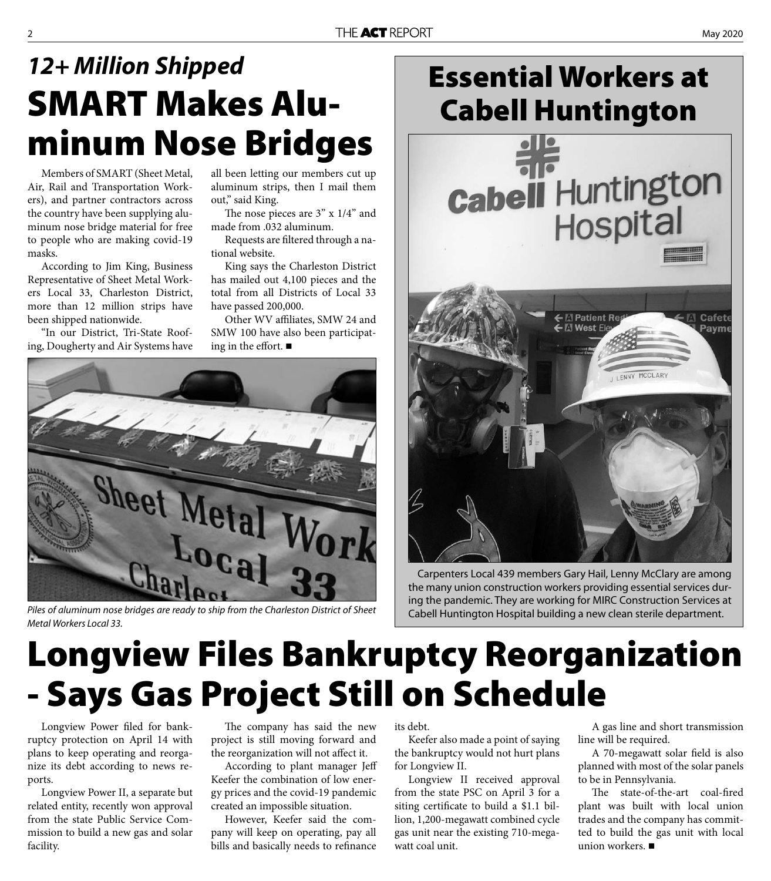#### THE ACT REPORT **EXECUTE ACT REPORT**

## **SMART Makes Aluminum Nose Bridges** *12+ Million Shipped*

Members of SMART (Sheet Metal, Air, Rail and Transportation Workers), and partner contractors across the country have been supplying aluminum nose bridge material for free to people who are making covid-19 masks.

According to Jim King, Business Representative of Sheet Metal Workers Local 33, Charleston District, more than 12 million strips have been shipped nationwide.

"In our District, Tri-State Roofing, Dougherty and Air Systems have all been letting our members cut up aluminum strips, then I mail them out," said King.

The nose pieces are  $3"$  x  $1/4"$  and made from .032 aluminum.

Requests are filtered through a national website.

King says the Charleston District has mailed out 4,100 pieces and the total from all Districts of Local 33 have passed 200,000.

Other WV affiliates, SMW 24 and SMW 100 have also been participating in the effort.  $\blacksquare$ 



Piles of aluminum nose bridges are ready to ship from the Charleston District of Sheet Metal Workers Local 33.

#### **Essential Workers at Cabell Huntington**



Carpenters Local 439 members Gary Hail, Lenny McClary are among the many union construction workers providing essential services during the pandemic. They are working for MIRC Construction Services at Cabell Huntington Hospital building a new clean sterile department.

## **Longview Files Bankruptcy Reorganization - Says Gas Project Still on Schedule**

Longview Power filed for bankruptcy protection on April 14 with plans to keep operating and reorganize its debt according to news reports.

Longview Power II, a separate but related entity, recently won approval from the state Public Service Commission to build a new gas and solar facility.

The company has said the new project is still moving forward and the reorganization will not affect it.

According to plant manager Jeff Keefer the combination of low energy prices and the covid-19 pandemic created an impossible situation.

However, Keefer said the company will keep on operating, pay all bills and basically needs to refinance

its debt.

Keefer also made a point of saying the bankruptcy would not hurt plans for Longview II.

Longview II received approval from the state PSC on April 3 for a siting certificate to build a \$1.1 billion, 1,200-megawatt combined cycle gas unit near the existing 710-megawatt coal unit.

A gas line and short transmission line will be required.

A 70-megawatt solar field is also planned with most of the solar panels to be in Pennsylvania.

The state-of-the-art coal-fired plant was built with local union trades and the company has committed to build the gas unit with local union workers. ■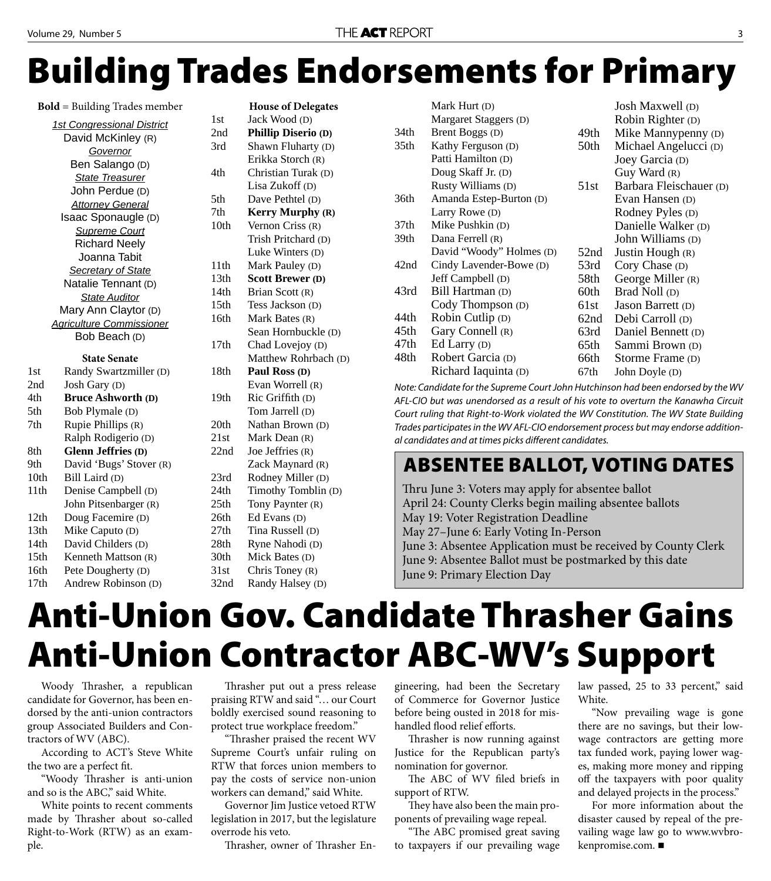## **Building Trades Endorsements for Primary**

**Bold** = Building Trades member

| <b>1st Congressional District</b> |
|-----------------------------------|
| David McKinley (R)                |
| Governor                          |
| Ben Salango (D)                   |
| State Treasurer                   |
| John Perdue (D)                   |
| <b>Attorney General</b>           |
| Isaac Sponaugle (D)               |
| <b>Supreme Court</b>              |
| <b>Richard Neely</b>              |
| Joanna Tabit                      |
| <b>Secretary of State</b>         |
| Natalie Tennant (D)               |
| <b>State Auditor</b>              |
| Mary Ann Claytor (D)              |
| <b>Agriculture Commissioner</b>   |
| Bob Beach (D)                     |

|  |  | <b>State Senate</b> |  |  |
|--|--|---------------------|--|--|
|  |  |                     |  |  |

| 1st  | Randy Swartzmiller (D)    |  |
|------|---------------------------|--|
| 2nd  | Josh Gary (D)             |  |
| 4th  | <b>Bruce Ashworth (D)</b> |  |
| 5th  | Bob Plymale (D)           |  |
| 7th  | Rupie Phillips (R)        |  |
|      | Ralph Rodigerio (D)       |  |
| 8th  | <b>Glenn Jeffries (D)</b> |  |
| 9th  | David 'Bugs' Stover (R)   |  |
| 10th | Bill Laird (D)            |  |
| 11th | Denise Campbell (D)       |  |
|      | John Pitsenbarger (R)     |  |
| 12th | Doug Facemire (D)         |  |
| 13th | Mike Caputo (D)           |  |
| 14th | David Childers (D)        |  |
| 15th | Kenneth Mattson (R)       |  |
| 16th | Pete Dougherty (D)        |  |
| 17th | Andrew Robinson (D)       |  |
|      |                           |  |

|                  | <b>House of Delegates</b>  |  |
|------------------|----------------------------|--|
| 1st              | Jack Wood (D)              |  |
| 2nd              | <b>Phillip Diserio (D)</b> |  |
| 3rd              | Shawn Fluharty (D)         |  |
|                  | Erikka Storch (R)          |  |
| 4th              | Christian Turak (D)        |  |
|                  | Lisa Zukoff (D)            |  |
| 5th              | Dave Pethtel (D)           |  |
| 7th              | <b>Kerry Murphy (R)</b>    |  |
| 10th             | Vernon Criss (R)           |  |
|                  | Trish Pritchard (D)        |  |
|                  | Luke Winters (D)           |  |
| 11th             | Mark Pauley (D)            |  |
| 13th             | <b>Scott Brewer (D)</b>    |  |
| 14th             | Brian Scott (R)            |  |
| 15th             | Tess Jackson (D)           |  |
| 16th             | Mark Bates (R)             |  |
|                  | Sean Hornbuckle (D)        |  |
| 17th             | Chad Lovejoy (D)           |  |
|                  | Matthew Rohrbach (D)       |  |
| 18th             | Paul Ross (D)              |  |
|                  | Evan Worrell (R)           |  |
| 19th             | Ric Griffith (D)           |  |
|                  | Tom Jarrell (D)            |  |
| 20th             | Nathan Brown (D)           |  |
| 21st             | Mark Dean (R)              |  |
| 22nd             | Joe Jeffries (R)           |  |
|                  | Zack Maynard (R)           |  |
| 23rd             | Rodney Miller (D)          |  |
| 24th             | Timothy Tomblin (D)        |  |
| 25 <sub>th</sub> | Tony Paynter (R)           |  |
| 26th             | Ed Evans (D)               |  |
| 27th             | Tina Russell (D)           |  |
| 28th             | Ryne Nahodi (D)            |  |
| 30th             | Mick Bates (D)             |  |
| 31st             | Chris Toney (R)            |  |
| 32nd             | Randy Halsey (D)           |  |

|                                                                                   |                  | Mark Hurt (D)            |      | <b>Josh Maxwell</b> (D) |  |
|-----------------------------------------------------------------------------------|------------------|--------------------------|------|-------------------------|--|
|                                                                                   |                  | Margaret Staggers (D)    |      | Robin Righter (D)       |  |
|                                                                                   | 34th             | Brent Boggs (D)          | 49th | Mike Manny penny (D)    |  |
|                                                                                   | 35 <sub>th</sub> | Kathy Ferguson (D)       | 50th | Michael Angelucci (D)   |  |
|                                                                                   |                  | Patti Hamilton (D)       |      | Joey Garcia (D)         |  |
|                                                                                   |                  | Doug Skaff Jr. (D)       |      | Guy Ward (R)            |  |
|                                                                                   |                  | Rusty Williams (D)       | 51st | Barbara Fleischauer (D) |  |
|                                                                                   | 36th             | Amanda Estep-Burton (D)  |      | Evan Hansen (D)         |  |
|                                                                                   |                  | Larry Rowe (D)           |      | Rodney Pyles (D)        |  |
|                                                                                   | 37 <sub>th</sub> | Mike Pushkin (D)         |      | Danielle Walker (D)     |  |
|                                                                                   | 39th             | Dana Ferrell (R)         |      | John Williams (D)       |  |
|                                                                                   |                  | David "Woody" Holmes (D) | 52nd | Justin Hough (R)        |  |
|                                                                                   | 42nd             | Cindy Lavender-Bowe (D)  | 53rd | Cory Chase (D)          |  |
|                                                                                   |                  | Jeff Campbell (D)        | 58th | George Miller (R)       |  |
|                                                                                   | 43rd             | Bill Hartman (D)         | 60th | Brad Noll (D)           |  |
|                                                                                   |                  | Cody Thompson (D)        | 61st | Jason Barrett (D)       |  |
|                                                                                   | 44th             | Robin Cutlip (D)         | 62nd | Debi Carroll (D)        |  |
|                                                                                   | 45th             | Gary Connell (R)         | 63rd | Daniel Bennett (D)      |  |
|                                                                                   | 47th             | Ed Larry (D)             | 65th | Sammi Brown (D)         |  |
|                                                                                   | 48th             | Robert Garcia (D)        | 66th | Storme Frame (D)        |  |
|                                                                                   |                  | Richard Iaquinta (D)     | 67th | John Doyle (D)          |  |
| Note: Candidate for the Supreme Court John Hutchinson had been endorsed by the WV |                  |                          |      |                         |  |
|                                                                                   |                  |                          |      |                         |  |

AFL-CIO but was unendorsed as a result of his vote to overturn the Kanawha Circuit Court ruling that Right-to-Work violated the WV Constitution. The WV State Building Trades participates in the WV AFL-CIO endorsement process but may endorse additional candidates and at times picks different candidates.

#### **ABSENTEE BALLOT, VOTING DATES**

Thru June 3: Voters may apply for absentee ballot April 24: County Clerks begin mailing absentee ballots May 19: Voter Registration Deadline May 27–June 6: Early Voting In-Person June 3: Absentee Application must be received by County Clerk June 9: Absentee Ballot must be postmarked by this date June 9: Primary Election Day

## **Anti-Union Gov. Candidate Thrasher Gains Anti-Union Contractor ABC-WV's Support**

Woody Thrasher, a republican candidate for Governor, has been endorsed by the anti-union contractors group Associated Builders and Contractors of WV (ABC).

According to ACT's Steve White the two are a perfect fit.

"Woody Thrasher is anti-union and so is the ABC," said White.

White points to recent comments made by Thrasher about so-called Right-to-Work (RTW) as an example.

Thrasher put out a press release praising RTW and said "… our Court boldly exercised sound reasoning to protect true workplace freedom."

"Th rasher praised the recent WV Supreme Court's unfair ruling on RTW that forces union members to pay the costs of service non-union workers can demand," said White.

Governor Jim Justice vetoed RTW legislation in 2017, but the legislature overrode his veto.

Thrasher, owner of Thrasher En-

gineering, had been the Secretary of Commerce for Governor Justice before being ousted in 2018 for mishandled flood relief efforts.

Thrasher is now running against Justice for the Republican party's nomination for governor.

The ABC of WV filed briefs in support of RTW.

They have also been the main proponents of prevailing wage repeal.

"The ABC promised great saving to taxpayers if our prevailing wage

law passed, 25 to 33 percent," said White.

"Now prevailing wage is gone there are no savings, but their lowwage contractors are getting more tax funded work, paying lower wages, making more money and ripping off the taxpayers with poor quality and delayed projects in the process."

For more information about the disaster caused by repeal of the prevailing wage law go to www.wvbrokenpromise.com.